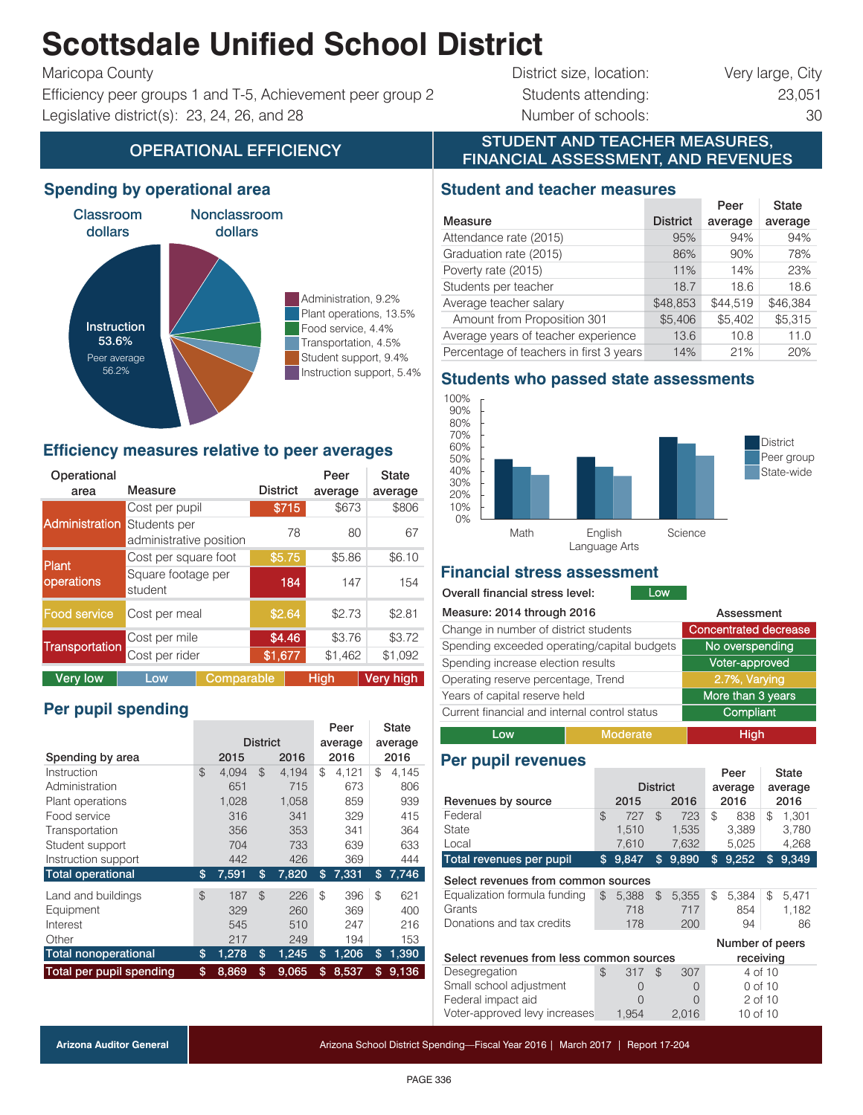# **Scottsdale Unified School District**

Efficiency peer groups 1 and T-5, Achievement peer group 2 Students attending: 23,051 Legislative district(s): 23, 24, 26, and 28 Number of schools: 30

Maricopa County **District size, location:** Very large, City

# OPERATIONAL EFFICIENCY **EXECUTED TELEVATIONAL EFFICIENCY** FINANCIAL ASSESSMENT, AND REVENUES

#### **Spending by operational area**



#### **Efficiency measures relative to peer averages**

| Operational<br>area | Measure                                 |            | <b>District</b> | Peer<br>average | <b>State</b><br>average |
|---------------------|-----------------------------------------|------------|-----------------|-----------------|-------------------------|
|                     |                                         |            |                 |                 |                         |
|                     | Cost per pupil                          |            | \$715           | \$673           | \$806                   |
| Administration      | Students per<br>administrative position |            | 78              | 80              | 67                      |
| Plant               | Cost per square foot                    |            | \$5.75          | \$5.86          | \$6.10                  |
| operations          | Square footage per<br>student           |            | 184             | 147             | 154                     |
| Food service        | Cost per meal                           |            | \$2.64          | \$2.73          | \$2.81                  |
|                     | Cost per mile                           |            | \$4.46          | \$3.76          | \$3.72                  |
| Transportation      | Cost per rider                          |            | \$1,677         | \$1,462         | \$1,092                 |
| <b>Very low</b>     | Low                                     | Comparable |                 | <b>High</b>     | Very high               |

## **Per pupil spending**

|                             |                 |       |               |       |    | Peer    | State          |         |
|-----------------------------|-----------------|-------|---------------|-------|----|---------|----------------|---------|
|                             | <b>District</b> |       |               |       |    | average |                | average |
| Spending by area            |                 | 2015  |               | 2016  |    | 2016    |                | 2016    |
| Instruction                 | $\mathfrak{L}$  | 4.094 | $\mathcal{L}$ | 4.194 | \$ | 4.121   | \$             | 4,145   |
| Administration              |                 | 651   |               | 715   |    | 673     |                | 806     |
| Plant operations            |                 | 1.028 |               | 1.058 |    | 859     |                | 939     |
| Food service                |                 | 316   |               | 341   |    | 329     |                | 415     |
| Transportation              |                 | 356   |               | 353   |    | 341     |                | 364     |
| Student support             |                 | 704   |               | 733   |    | 639     |                | 633     |
| Instruction support         |                 | 442   |               | 426   |    | 369     |                | 444     |
| <b>Total operational</b>    | \$              | 7,591 | \$            | 7,820 | \$ | 7,331   | \$             | 7,746   |
| Land and buildings          | $\mathfrak{L}$  | 187   | $\mathcal{F}$ | 226   | \$ | 396     | \$             | 621     |
| Equipment                   |                 | 329   |               | 260   |    | 369     |                | 400     |
| Interest                    |                 | 545   |               | 510   |    | 247     |                | 216     |
| Other                       |                 | 217   |               | 249   |    | 194     |                | 153     |
| <b>Total nonoperational</b> | \$              | 1,278 | \$            | 1,245 | \$ | 1,206   | $\mathfrak{s}$ | 1,390   |
| Total per pupil spending    | \$              | 8.869 | \$            | 9.065 | \$ | 8.537   | \$             | 9.136   |

#### **Student and teacher measures**

|                                         |                 | Peer     | <b>State</b> |
|-----------------------------------------|-----------------|----------|--------------|
| Measure                                 | <b>District</b> | average  | average      |
| Attendance rate (2015)                  | 95%             | 94%      | 94%          |
| Graduation rate (2015)                  | 86%             | 90%      | 78%          |
| Poverty rate (2015)                     | 11%             | 14%      | 23%          |
| Students per teacher                    | 18.7            | 18.6     | 18.6         |
| Average teacher salary                  | \$48,853        | \$44.519 | \$46,384     |
| Amount from Proposition 301             | \$5,406         | \$5,402  | \$5,315      |
| Average years of teacher experience     | 13.6            | 10.8     | 11.0         |
| Percentage of teachers in first 3 years | 14%             | 21%      | 20%          |

STUDENT AND TEACHER MEASURES,

#### **Students who passed state assessments**



#### **Financial stress assessment**

#### Overall financial stress level:

| Measure: 2014 through 2016                    | Assessment                   |      |  |  |  |  |
|-----------------------------------------------|------------------------------|------|--|--|--|--|
| Change in number of district students         | <b>Concentrated decrease</b> |      |  |  |  |  |
| Spending exceeded operating/capital budgets   | No overspending              |      |  |  |  |  |
| Spending increase election results            | Voter-approved               |      |  |  |  |  |
| Operating reserve percentage, Trend           | 2.7%, Varying                |      |  |  |  |  |
| Years of capital reserve held                 | More than 3 years            |      |  |  |  |  |
| Current financial and internal control status | Compliant                    |      |  |  |  |  |
| l ow                                          | <b>Moderate</b>              | High |  |  |  |  |

Low

# **Per pupil revenues**

|                                                 |              |                |                                     |     |              | olalo                          |                                                  |  |
|-------------------------------------------------|--------------|----------------|-------------------------------------|-----|--------------|--------------------------------|--------------------------------------------------|--|
| <b>District</b>                                 |              |                |                                     |     |              | average                        |                                                  |  |
|                                                 | 2015         |                | 2016                                |     |              |                                | 2016                                             |  |
| \$                                              | 727          | $\mathfrak{L}$ | 723                                 | \$  | 838          | \$                             | 1.301                                            |  |
|                                                 | 1.510        |                | 1,535                               |     | 3,389        |                                | 3,780                                            |  |
|                                                 | 7,610        |                | 7,632                               |     | 5,025        |                                | 4,268                                            |  |
| \$                                              | 9,847        | \$             | 9,890                               | \$  | 9,252        | \$                             | 9,349                                            |  |
|                                                 |              |                |                                     |     |              |                                |                                                  |  |
| \$                                              | 5.388<br>718 | \$             | 5.355<br>717                        | \$  | 5.384<br>854 | \$                             | 5,471<br>1,182                                   |  |
|                                                 |              |                |                                     |     |              |                                | 86                                               |  |
|                                                 |              |                |                                     |     |              |                                |                                                  |  |
| Select revenues from less common sources        |              |                |                                     |     | receiving    |                                |                                                  |  |
| \$                                              | 317          | \$             | 307                                 |     |              |                                |                                                  |  |
|                                                 | O            |                | 0                                   |     |              |                                |                                                  |  |
|                                                 | O            |                | 0                                   |     |              |                                |                                                  |  |
| Voter-approved levy increases<br>1.954<br>2.016 |              |                | 10 of 10                            |     |              |                                |                                                  |  |
|                                                 |              | 178            | Select revenues from common sources | 200 |              | ו ספו<br>average<br>2016<br>94 | Number of peers<br>4 of 10<br>0 of 10<br>2 of 10 |  |

PAGE 336